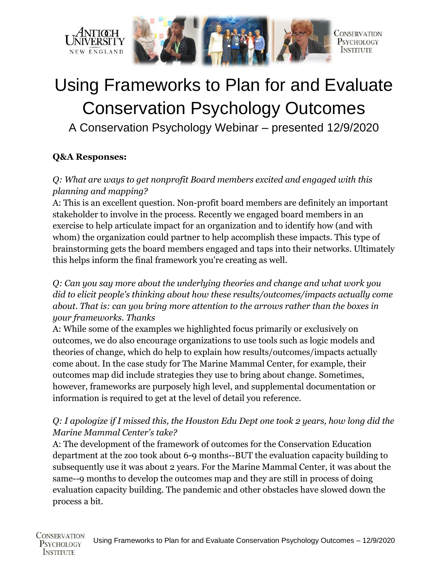



# Using Frameworks to Plan for and Evaluate Conservation Psychology Outcomes A Conservation Psychology Webinar – presented 12/9/2020

#### **Q&A Responses:**

## *Q: What are ways to get nonprofit Board members excited and engaged with this planning and mapping?*

A: This is an excellent question. Non-profit board members are definitely an important stakeholder to involve in the process. Recently we engaged board members in an exercise to help articulate impact for an organization and to identify how (and with whom) the organization could partner to help accomplish these impacts. This type of brainstorming gets the board members engaged and taps into their networks. Ultimately this helps inform the final framework you're creating as well.

*Q: Can you say more about the underlying theories and change and what work you did to elicit people's thinking about how these results/outcomes/impacts actually come about. That is: can you bring more attention to the arrows rather than the boxes in your frameworks. Thanks*

A: While some of the examples we highlighted focus primarily or exclusively on outcomes, we do also encourage organizations to use tools such as logic models and theories of change, which do help to explain how results/outcomes/impacts actually come about. In the case study for The Marine Mammal Center, for example, their outcomes map did include strategies they use to bring about change. Sometimes, however, frameworks are purposely high level, and supplemental documentation or information is required to get at the level of detail you reference.

#### *Q: I apologize if I missed this, the Houston Edu Dept one took 2 years, how long did the Marine Mammal Center's take?*

A: The development of the framework of outcomes for the Conservation Education department at the zoo took about 6-9 months--BUT the evaluation capacity building to subsequently use it was about 2 years. For the Marine Mammal Center, it was about the same--9 months to develop the outcomes map and they are still in process of doing evaluation capacity building. The pandemic and other obstacles have slowed down the process a bit.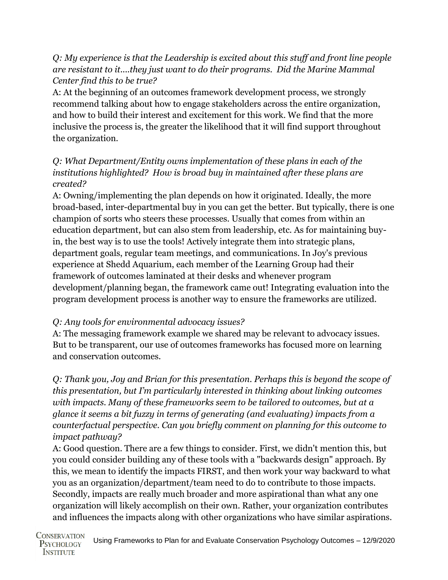#### *Q: My experience is that the Leadership is excited about this stuff and front line people are resistant to it....they just want to do their programs. Did the Marine Mammal Center find this to be true?*

A: At the beginning of an outcomes framework development process, we strongly recommend talking about how to engage stakeholders across the entire organization, and how to build their interest and excitement for this work. We find that the more inclusive the process is, the greater the likelihood that it will find support throughout the organization.

## *Q: What Department/Entity owns implementation of these plans in each of the institutions highlighted? How is broad buy in maintained after these plans are created?*

A: Owning/implementing the plan depends on how it originated. Ideally, the more broad-based, inter-departmental buy in you can get the better. But typically, there is one champion of sorts who steers these processes. Usually that comes from within an education department, but can also stem from leadership, etc. As for maintaining buyin, the best way is to use the tools! Actively integrate them into strategic plans, department goals, regular team meetings, and communications. In Joy's previous experience at Shedd Aquarium, each member of the Learning Group had their framework of outcomes laminated at their desks and whenever program development/planning began, the framework came out! Integrating evaluation into the program development process is another way to ensure the frameworks are utilized.

## *Q: Any tools for environmental advocacy issues?*

A: The messaging framework example we shared may be relevant to advocacy issues. But to be transparent, our use of outcomes frameworks has focused more on learning and conservation outcomes.

*Q: Thank you, Joy and Brian for this presentation. Perhaps this is beyond the scope of this presentation, but I'm particularly interested in thinking about linking outcomes with impacts. Many of these frameworks seem to be tailored to outcomes, but at a glance it seems a bit fuzzy in terms of generating (and evaluating) impacts from a counterfactual perspective. Can you briefly comment on planning for this outcome to impact pathway?* 

A: Good question. There are a few things to consider. First, we didn't mention this, but you could consider building any of these tools with a "backwards design" approach. By this, we mean to identify the impacts FIRST, and then work your way backward to what you as an organization/department/team need to do to contribute to those impacts. Secondly, impacts are really much broader and more aspirational than what any one organization will likely accomplish on their own. Rather, your organization contributes and influences the impacts along with other organizations who have similar aspirations.